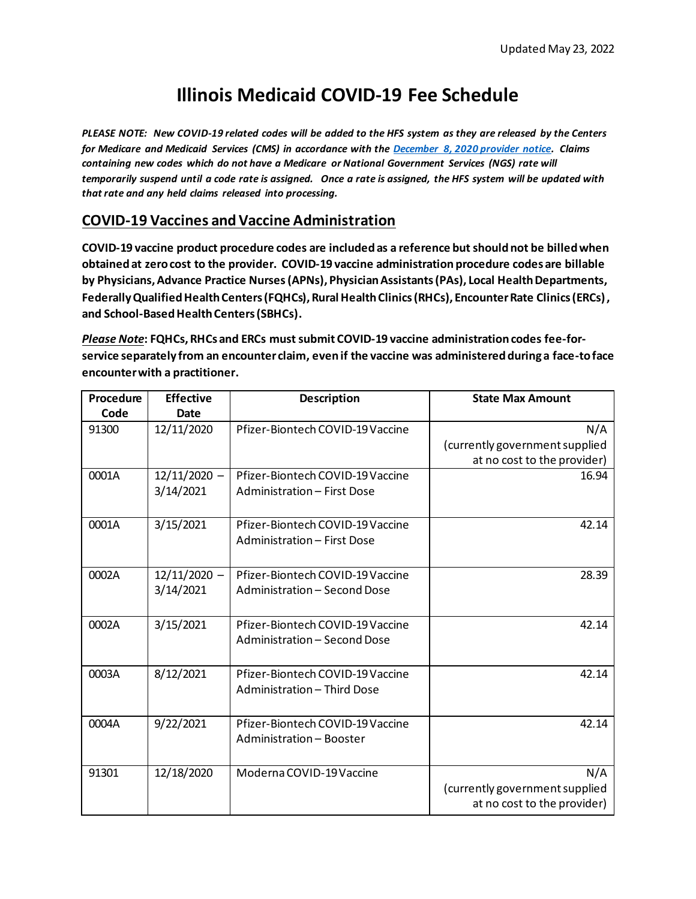# **Illinois Medicaid COVID-19 Fee Schedule**

*PLEASE NOTE: New COVID-19 related codes will be added to the HFS system as they are released by the Centers for Medicare and Medicaid Services (CMS) in accordance with th[e December 8, 2020 provider notice.](https://www.illinois.gov/hfs/MedicalProviders/notices/Pages/prn201208a.aspx) Claims containing new codes which do not have a Medicare or National Government Services (NGS) rate will temporarily suspend until a code rate is assigned. Once a rate is assigned, the HFS system will be updated with that rate and any held claims released into processing.* 

### **COVID-19 Vaccines and Vaccine Administration**

**COVID-19 vaccine product procedure codes are included as a reference but should not be billed when obtained at zero cost to the provider. COVID-19 vaccine administration procedure codes are billable by Physicians, Advance Practice Nurses(APNs), Physician Assistants(PAs), Local Health Departments, Federally Qualified Health Centers (FQHCs), Rural Health Clinics (RHCs), Encounter Rate Clinics (ERCs), and School-Based Health Centers (SBHCs).** 

*Please Note***: FQHCs, RHCs and ERCs must submit COVID-19 vaccine administration codes fee-forservice separately from an encounter claim, even if the vaccine was administered during a face-to face encounter with a practitioner.** 

| Procedure | <b>Effective</b>            | <b>Description</b>                                               | <b>State Max Amount</b>                                              |
|-----------|-----------------------------|------------------------------------------------------------------|----------------------------------------------------------------------|
| Code      | <b>Date</b>                 |                                                                  |                                                                      |
| 91300     | 12/11/2020                  | Pfizer-Biontech COVID-19 Vaccine                                 | N/A<br>(currently government supplied<br>at no cost to the provider) |
| 0001A     | $12/11/2020 -$<br>3/14/2021 | Pfizer-Biontech COVID-19 Vaccine<br>Administration - First Dose  | 16.94                                                                |
| 0001A     | 3/15/2021                   | Pfizer-Biontech COVID-19 Vaccine<br>Administration - First Dose  | 42.14                                                                |
| 0002A     | $12/11/2020 -$<br>3/14/2021 | Pfizer-Biontech COVID-19 Vaccine<br>Administration - Second Dose | 28.39                                                                |
| 0002A     | 3/15/2021                   | Pfizer-Biontech COVID-19 Vaccine<br>Administration - Second Dose | 42.14                                                                |
| 0003A     | 8/12/2021                   | Pfizer-Biontech COVID-19 Vaccine<br>Administration - Third Dose  | 42.14                                                                |
| 0004A     | 9/22/2021                   | Pfizer-Biontech COVID-19 Vaccine<br>Administration - Booster     | 42.14                                                                |
| 91301     | 12/18/2020                  | Moderna COVID-19 Vaccine                                         | N/A<br>(currently government supplied<br>at no cost to the provider) |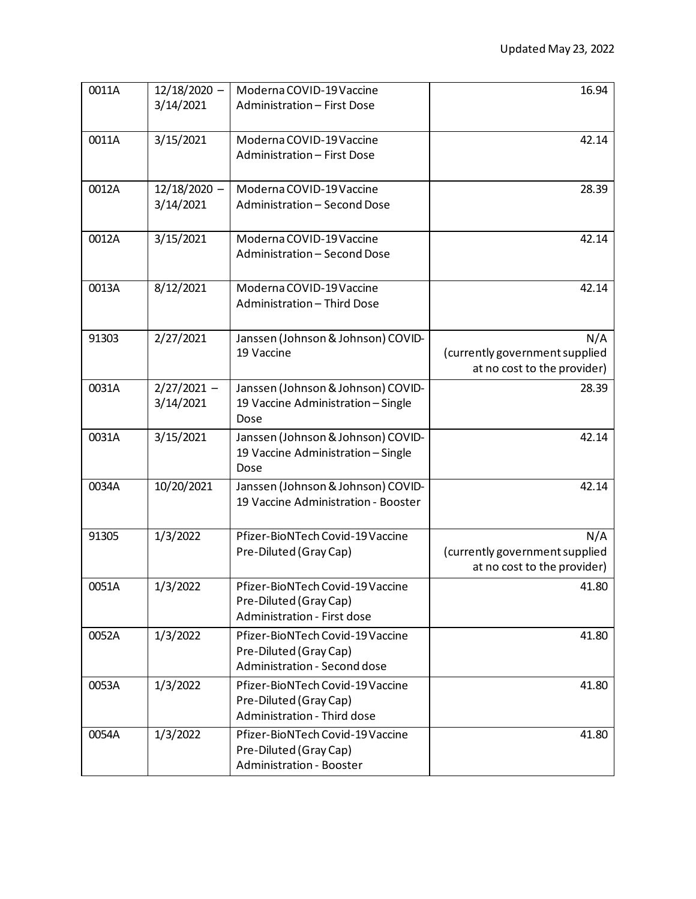| 0011A | $12/18/2020 -$<br>3/14/2021 | Moderna COVID-19 Vaccine<br>Administration - First Dose                                       | 16.94                                                                |
|-------|-----------------------------|-----------------------------------------------------------------------------------------------|----------------------------------------------------------------------|
| 0011A | 3/15/2021                   | Moderna COVID-19 Vaccine<br>Administration - First Dose                                       | 42.14                                                                |
| 0012A | $12/18/2020 -$<br>3/14/2021 | Moderna COVID-19 Vaccine<br>Administration - Second Dose                                      | 28.39                                                                |
| 0012A | 3/15/2021                   | Moderna COVID-19 Vaccine<br>Administration - Second Dose                                      | 42.14                                                                |
| 0013A | 8/12/2021                   | Moderna COVID-19 Vaccine<br>Administration - Third Dose                                       | 42.14                                                                |
| 91303 | 2/27/2021                   | Janssen (Johnson & Johnson) COVID-<br>19 Vaccine                                              | N/A<br>(currently government supplied<br>at no cost to the provider) |
| 0031A | $2/27/2021 -$<br>3/14/2021  | Janssen (Johnson & Johnson) COVID-<br>19 Vaccine Administration - Single<br>Dose              | 28.39                                                                |
| 0031A | 3/15/2021                   | Janssen (Johnson & Johnson) COVID-<br>19 Vaccine Administration - Single<br>Dose              | 42.14                                                                |
| 0034A | 10/20/2021                  | Janssen (Johnson & Johnson) COVID-<br>19 Vaccine Administration - Booster                     | 42.14                                                                |
| 91305 | 1/3/2022                    | Pfizer-BioNTech Covid-19 Vaccine<br>Pre-Diluted (Gray Cap)                                    | N/A<br>(currently government supplied<br>at no cost to the provider) |
| 0051A | 1/3/2022                    | Pfizer-BioNTech Covid-19 Vaccine<br>Pre-Diluted (Gray Cap)<br>Administration - First dose     | 41.80                                                                |
| 0052A | 1/3/2022                    | Pfizer-BioNTech Covid-19 Vaccine<br>Pre-Diluted (Gray Cap)<br>Administration - Second dose    | 41.80                                                                |
| 0053A | 1/3/2022                    | Pfizer-BioNTech Covid-19 Vaccine<br>Pre-Diluted (Gray Cap)<br>Administration - Third dose     | 41.80                                                                |
| 0054A | 1/3/2022                    | Pfizer-BioNTech Covid-19 Vaccine<br>Pre-Diluted (Gray Cap)<br><b>Administration - Booster</b> | 41.80                                                                |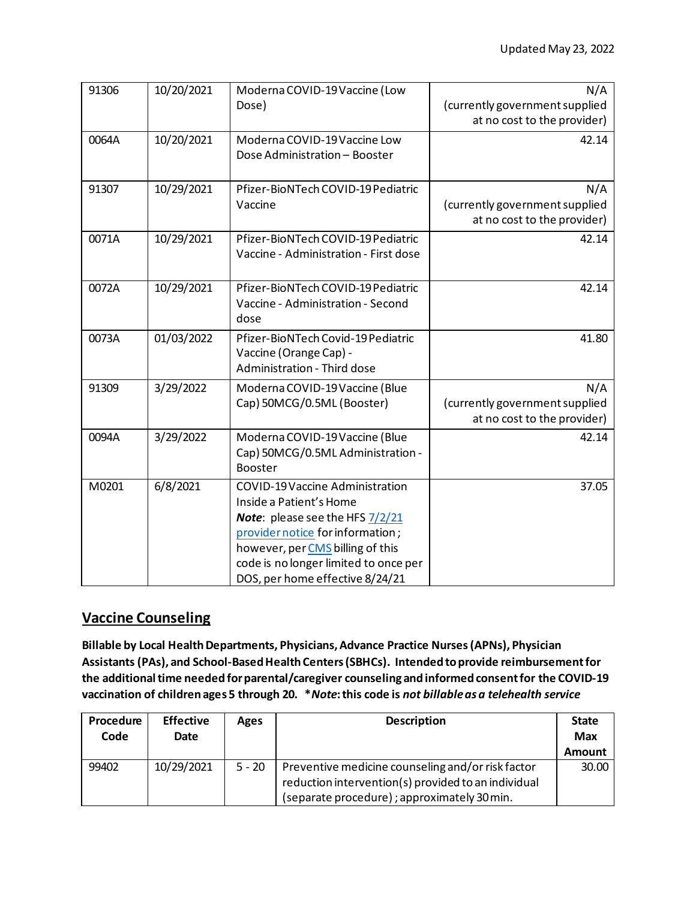| 91306 | 10/20/2021 | Moderna COVID-19 Vaccine (Low<br>Dose)                                                                                                                                                                                                                          | N/A<br>(currently government supplied<br>at no cost to the provider) |
|-------|------------|-----------------------------------------------------------------------------------------------------------------------------------------------------------------------------------------------------------------------------------------------------------------|----------------------------------------------------------------------|
| 0064A | 10/20/2021 | Moderna COVID-19 Vaccine Low<br>Dose Administration - Booster                                                                                                                                                                                                   | 42.14                                                                |
| 91307 | 10/29/2021 | Pfizer-BioNTech COVID-19 Pediatric<br>Vaccine                                                                                                                                                                                                                   | N/A<br>(currently government supplied<br>at no cost to the provider) |
| 0071A | 10/29/2021 | Pfizer-BioNTech COVID-19 Pediatric<br>Vaccine - Administration - First dose                                                                                                                                                                                     | 42.14                                                                |
| 0072A | 10/29/2021 | Pfizer-BioNTech COVID-19 Pediatric<br>Vaccine - Administration - Second<br>dose                                                                                                                                                                                 | 42.14                                                                |
| 0073A | 01/03/2022 | Pfizer-BioNTech Covid-19 Pediatric<br>Vaccine (Orange Cap) -<br>Administration - Third dose                                                                                                                                                                     | 41.80                                                                |
| 91309 | 3/29/2022  | Moderna COVID-19 Vaccine (Blue<br>Cap) 50MCG/0.5ML (Booster)                                                                                                                                                                                                    | N/A<br>(currently government supplied<br>at no cost to the provider) |
| 0094A | 3/29/2022  | Moderna COVID-19 Vaccine (Blue<br>Cap) 50MCG/0.5ML Administration -<br><b>Booster</b>                                                                                                                                                                           | 42.14                                                                |
| M0201 | 6/8/2021   | <b>COVID-19 Vaccine Administration</b><br>Inside a Patient's Home<br><b>Note:</b> please see the HFS 7/2/21<br>provider notice for information;<br>however, per CMS billing of this<br>code is no longer limited to once per<br>DOS, per home effective 8/24/21 | 37.05                                                                |

## **Vaccine Counseling**

**Billable by Local Health Departments, Physicians, Advance Practice Nurses(APNs), Physician Assistants (PAs), and School-Based Health Centers (SBHCs). Intended to provide reimbursementfor the additional time needed for parental/caregiver counseling and informed consentfor the COVID-19 vaccination of children ages 5 through 20. \****Note***: this code is** *not billable as a telehealth service*

| Procedure | <b>Effective</b> | Ages     | <b>Description</b>                                  | <b>State</b>  |
|-----------|------------------|----------|-----------------------------------------------------|---------------|
| Code      | <b>Date</b>      |          |                                                     | <b>Max</b>    |
|           |                  |          |                                                     | <b>Amount</b> |
| 99402     | 10/29/2021       | $5 - 20$ | Preventive medicine counseling and/or risk factor   | 30.00         |
|           |                  |          | reduction intervention(s) provided to an individual |               |
|           |                  |          | (separate procedure); approximately 30 min.         |               |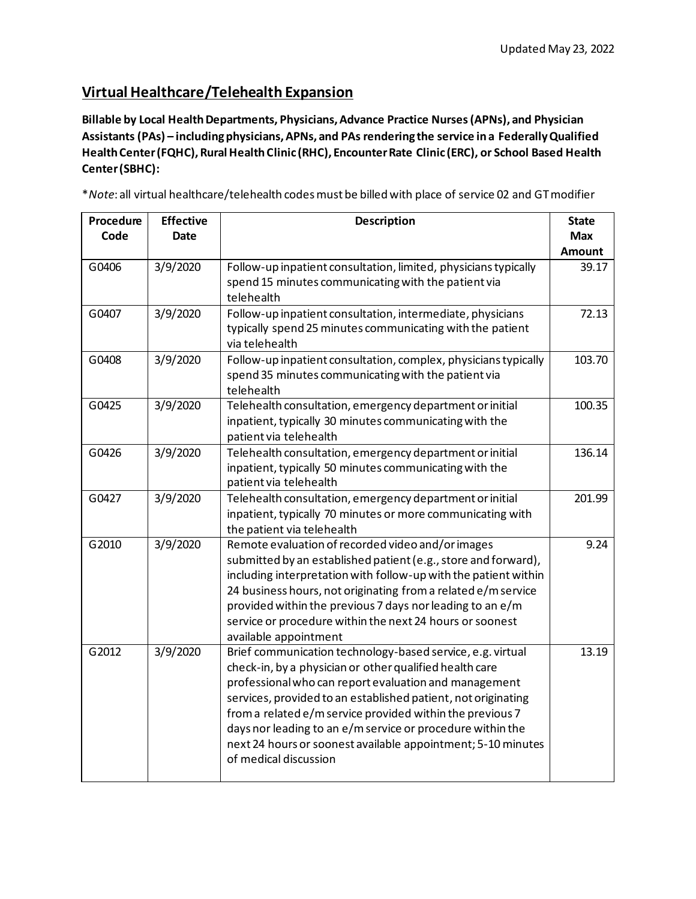# **Virtual Healthcare/Telehealth Expansion**

**Billable by Local Health Departments, Physicians, Advance Practice Nurses(APNs), and Physician Assistants (PAs) – including physicians, APNs, and PAs rendering the service in a Federally Qualified Health Center (FQHC), Rural Health Clinic (RHC), Encounter Rate Clinic (ERC), or School Based Health Center (SBHC):**

\**Note*: all virtual healthcare/telehealth codes must be billed with place of service 02 and GT modifier

| Procedure | <b>Effective</b> | <b>Description</b>                                                                                                         |               |
|-----------|------------------|----------------------------------------------------------------------------------------------------------------------------|---------------|
| Code      | <b>Date</b>      |                                                                                                                            | <b>Max</b>    |
|           |                  |                                                                                                                            | <b>Amount</b> |
| G0406     | 3/9/2020         | Follow-up inpatient consultation, limited, physicians typically                                                            | 39.17         |
|           |                  | spend 15 minutes communicating with the patient via<br>telehealth                                                          |               |
| G0407     | 3/9/2020         | Follow-up inpatient consultation, intermediate, physicians                                                                 | 72.13         |
|           |                  | typically spend 25 minutes communicating with the patient                                                                  |               |
|           |                  | via telehealth                                                                                                             |               |
| G0408     | 3/9/2020         | Follow-up inpatient consultation, complex, physicians typically                                                            | 103.70        |
|           |                  | spend 35 minutes communicating with the patient via                                                                        |               |
|           |                  | telehealth                                                                                                                 |               |
| G0425     | 3/9/2020         | Telehealth consultation, emergency department or initial                                                                   | 100.35        |
|           |                  | inpatient, typically 30 minutes communicating with the                                                                     |               |
| G0426     | 3/9/2020         | patient via telehealth                                                                                                     | 136.14        |
|           |                  | Telehealth consultation, emergency department or initial<br>inpatient, typically 50 minutes communicating with the         |               |
|           |                  | patient via telehealth                                                                                                     |               |
| G0427     | 3/9/2020         | Telehealth consultation, emergency department or initial                                                                   | 201.99        |
|           |                  | inpatient, typically 70 minutes or more communicating with                                                                 |               |
|           |                  | the patient via telehealth                                                                                                 |               |
| G2010     | 3/9/2020         | Remote evaluation of recorded video and/or images                                                                          | 9.24          |
|           |                  | submitted by an established patient (e.g., store and forward),                                                             |               |
|           |                  | including interpretation with follow-up with the patient within                                                            |               |
|           |                  | 24 business hours, not originating from a related e/m service<br>provided within the previous 7 days nor leading to an e/m |               |
|           |                  | service or procedure within the next 24 hours or soonest                                                                   |               |
|           |                  | available appointment                                                                                                      |               |
| G2012     | 3/9/2020         | Brief communication technology-based service, e.g. virtual                                                                 | 13.19         |
|           |                  | check-in, by a physician or other qualified health care                                                                    |               |
|           |                  | professional who can report evaluation and management                                                                      |               |
|           |                  | services, provided to an established patient, not originating                                                              |               |
|           |                  | from a related e/m service provided within the previous 7                                                                  |               |
|           |                  | days nor leading to an e/m service or procedure within the                                                                 |               |
|           |                  | next 24 hours or soonest available appointment; 5-10 minutes<br>of medical discussion                                      |               |
|           |                  |                                                                                                                            |               |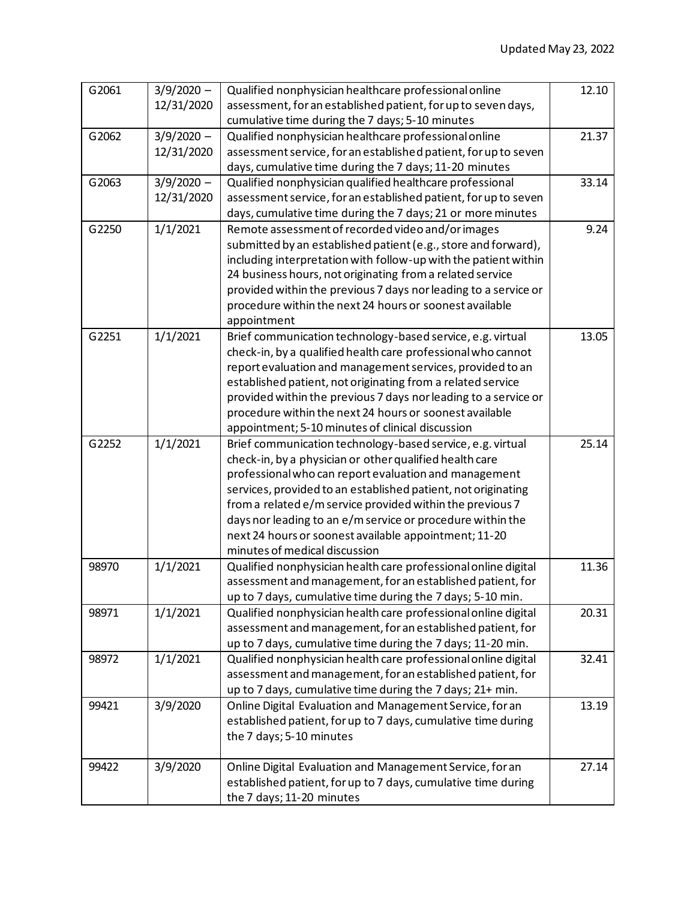| G2061 | $3/9/2020 -$ | Qualified nonphysician healthcare professional online           | 12.10 |
|-------|--------------|-----------------------------------------------------------------|-------|
|       | 12/31/2020   | assessment, for an established patient, for up to seven days,   |       |
|       |              | cumulative time during the 7 days; 5-10 minutes                 |       |
| G2062 | $3/9/2020 -$ | Qualified nonphysician healthcare professional online           | 21.37 |
|       | 12/31/2020   | assessment service, for an established patient, for up to seven |       |
|       |              | days, cumulative time during the 7 days; 11-20 minutes          |       |
| G2063 | $3/9/2020 -$ | Qualified nonphysician qualified healthcare professional        | 33.14 |
|       | 12/31/2020   | assessment service, for an established patient, for up to seven |       |
|       |              | days, cumulative time during the 7 days; 21 or more minutes     |       |
| G2250 | 1/1/2021     | Remote assessment of recorded video and/or images               | 9.24  |
|       |              | submitted by an established patient (e.g., store and forward),  |       |
|       |              | including interpretation with follow-up with the patient within |       |
|       |              | 24 business hours, not originating from a related service       |       |
|       |              | provided within the previous 7 days nor leading to a service or |       |
|       |              | procedure within the next 24 hours or soonest available         |       |
|       |              | appointment                                                     |       |
| G2251 | 1/1/2021     | Brief communication technology-based service, e.g. virtual      | 13.05 |
|       |              | check-in, by a qualified health care professional who cannot    |       |
|       |              | report evaluation and management services, provided to an       |       |
|       |              | established patient, not originating from a related service     |       |
|       |              | provided within the previous 7 days nor leading to a service or |       |
|       |              | procedure within the next 24 hours or soonest available         |       |
|       |              | appointment; 5-10 minutes of clinical discussion                |       |
| G2252 | 1/1/2021     | Brief communication technology-based service, e.g. virtual      | 25.14 |
|       |              | check-in, by a physician or other qualified health care         |       |
|       |              | professional who can report evaluation and management           |       |
|       |              | services, provided to an established patient, not originating   |       |
|       |              | from a related e/m service provided within the previous 7       |       |
|       |              | days nor leading to an e/m service or procedure within the      |       |
|       |              | next 24 hours or soonest available appointment; 11-20           |       |
|       |              | minutes of medical discussion                                   |       |
| 98970 | 1/1/2021     | Qualified nonphysician health care professional online digital  | 11.36 |
|       |              | assessment and management, for an established patient, for      |       |
|       |              | up to 7 days, cumulative time during the 7 days; 5-10 min.      |       |
| 98971 | 1/1/2021     | Qualified nonphysician health care professional online digital  | 20.31 |
|       |              | assessment and management, for an established patient, for      |       |
|       |              | up to 7 days, cumulative time during the 7 days; 11-20 min.     |       |
| 98972 | 1/1/2021     | Qualified nonphysician health care professional online digital  | 32.41 |
|       |              | assessment and management, for an established patient, for      |       |
|       |              | up to 7 days, cumulative time during the 7 days; 21+ min.       |       |
| 99421 | 3/9/2020     | Online Digital Evaluation and Management Service, for an        | 13.19 |
|       |              | established patient, for up to 7 days, cumulative time during   |       |
|       |              | the 7 days; 5-10 minutes                                        |       |
|       |              |                                                                 |       |
| 99422 | 3/9/2020     | Online Digital Evaluation and Management Service, for an        | 27.14 |
|       |              | established patient, for up to 7 days, cumulative time during   |       |
|       |              | the 7 days; 11-20 minutes                                       |       |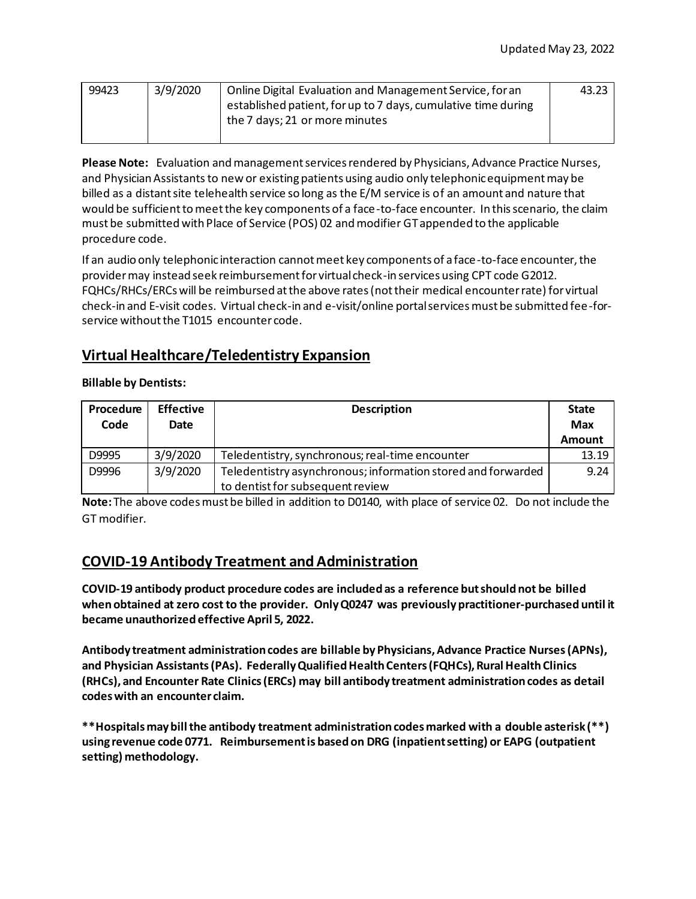| 99423 | 3/9/2020 | Online Digital Evaluation and Management Service, for an      | 43.23 |
|-------|----------|---------------------------------------------------------------|-------|
|       |          | established patient, for up to 7 days, cumulative time during |       |
|       |          | the 7 days; 21 or more minutes                                |       |
|       |          |                                                               |       |

**Please Note:** Evaluation and management services rendered by Physicians, Advance Practice Nurses, and Physician Assistants to new or existing patients using audio only telephonic equipment may be billed as a distant site telehealth service so long as the E/M service is of an amount and nature that would be sufficient to meet the key components of a face-to-face encounter. In this scenario, the claim must be submitted with Place of Service (POS) 02 and modifier GT appended to the applicable procedure code.

If an audio only telephonic interaction cannot meet key components of a face-to-face encounter, the provider may instead seek reimbursement for virtual check-in services using CPT code G2012. FQHCs/RHCs/ERCs will be reimbursed at the above rates (not their medical encounter rate) for virtual check-in and E-visit codes. Virtual check-in and e-visit/online portal services must be submitted fee-forservice without the T1015 encounter code.

# **Virtual Healthcare/Teledentistry Expansion**

#### **Billable by Dentists:**

| Procedure<br>Code | <b>Effective</b><br>Date | <b>Description</b>                                                                               | <b>State</b><br><b>Max</b> |
|-------------------|--------------------------|--------------------------------------------------------------------------------------------------|----------------------------|
| D9995             | 3/9/2020                 | Teledentistry, synchronous; real-time encounter                                                  | <b>Amount</b><br>13.19     |
| D9996             | 3/9/2020                 | Teledentistry asynchronous; information stored and forwarded<br>to dentist for subsequent review | 9.24                       |

**Note:** The above codes must be billed in addition to D0140, with place of service 02. Do not include the GT modifier.

## **COVID-19 Antibody Treatment and Administration**

**COVID-19 antibody product procedure codes are included as a reference but should not be billed when obtained at zero cost to the provider. Only Q0247 was previously practitioner-purchased until it became unauthorized effective April 5, 2022.** 

**Antibody treatment administration codes are billable by Physicians, Advance Practice Nurses(APNs), and Physician Assistants(PAs). Federally Qualified Health Centers (FQHCs), Rural Health Clinics (RHCs), and Encounter Rate Clinics (ERCs) may bill antibody treatment administration codes as detail codes with an encounter claim.** 

**\*\*Hospitals may bill the antibody treatment administration codes marked with a double asterisk (\*\*) using revenue code 0771. Reimbursement is based on DRG (inpatient setting) or EAPG (outpatient setting) methodology.**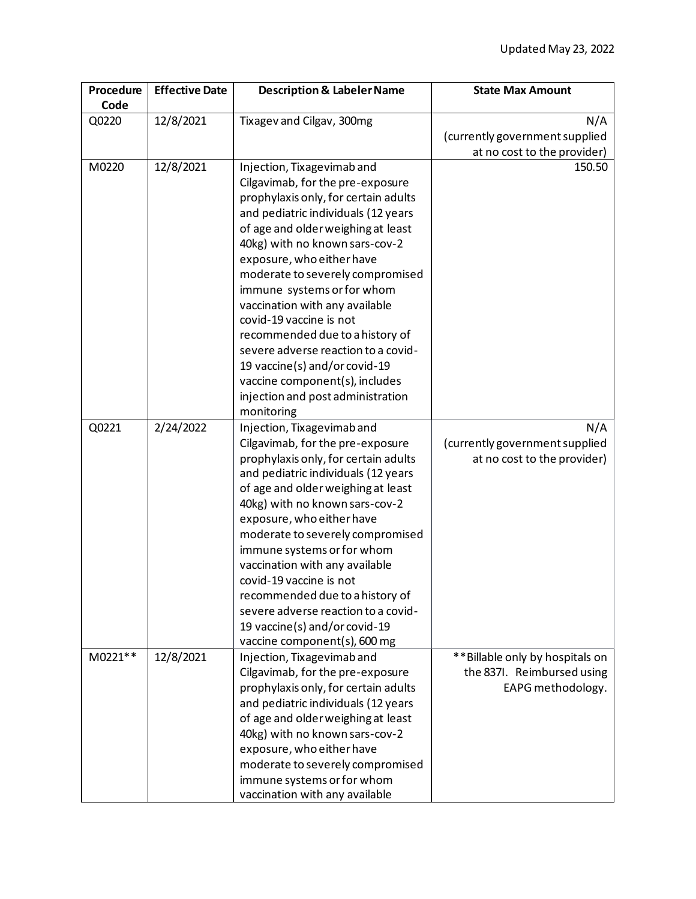| Procedure<br>Code | <b>Effective Date</b> | <b>Description &amp; Labeler Name</b>                                    | <b>State Max Amount</b>                                        |
|-------------------|-----------------------|--------------------------------------------------------------------------|----------------------------------------------------------------|
| Q0220             | 12/8/2021             | Tixagev and Cilgav, 300mg                                                | N/A                                                            |
|                   |                       |                                                                          | (currently government supplied                                 |
|                   |                       |                                                                          | at no cost to the provider)                                    |
| M0220             | 12/8/2021             | Injection, Tixagevimab and                                               | 150.50                                                         |
|                   |                       | Cilgavimab, for the pre-exposure                                         |                                                                |
|                   |                       | prophylaxis only, for certain adults                                     |                                                                |
|                   |                       | and pediatric individuals (12 years                                      |                                                                |
|                   |                       | of age and older weighing at least                                       |                                                                |
|                   |                       | 40kg) with no known sars-cov-2                                           |                                                                |
|                   |                       | exposure, who either have                                                |                                                                |
|                   |                       | moderate to severely compromised                                         |                                                                |
|                   |                       | immune systems or for whom                                               |                                                                |
|                   |                       | vaccination with any available<br>covid-19 vaccine is not                |                                                                |
|                   |                       |                                                                          |                                                                |
|                   |                       | recommended due to a history of<br>severe adverse reaction to a covid-   |                                                                |
|                   |                       | 19 vaccine(s) and/or covid-19                                            |                                                                |
|                   |                       | vaccine component(s), includes                                           |                                                                |
|                   |                       | injection and post administration                                        |                                                                |
|                   |                       | monitoring                                                               |                                                                |
| Q0221             | 2/24/2022             | Injection, Tixagevimab and                                               | N/A                                                            |
|                   |                       | Cilgavimab, for the pre-exposure                                         | (currently government supplied                                 |
|                   |                       | prophylaxis only, for certain adults                                     | at no cost to the provider)                                    |
|                   |                       | and pediatric individuals (12 years                                      |                                                                |
|                   |                       | of age and older weighing at least                                       |                                                                |
|                   |                       | 40kg) with no known sars-cov-2                                           |                                                                |
|                   |                       | exposure, who either have                                                |                                                                |
|                   |                       | moderate to severely compromised                                         |                                                                |
|                   |                       | immune systems or for whom                                               |                                                                |
|                   |                       | vaccination with any available                                           |                                                                |
|                   |                       | covid-19 vaccine is not                                                  |                                                                |
|                   |                       | recommended due to a history of                                          |                                                                |
|                   |                       | severe adverse reaction to a covid-                                      |                                                                |
|                   |                       | 19 vaccine(s) and/or covid-19                                            |                                                                |
|                   |                       | vaccine component(s), 600 mg                                             |                                                                |
| M0221**           | 12/8/2021             | Injection, Tixagevimab and                                               | ** Billable only by hospitals on<br>the 837I. Reimbursed using |
|                   |                       | Cilgavimab, for the pre-exposure<br>prophylaxis only, for certain adults |                                                                |
|                   |                       | and pediatric individuals (12 years                                      | EAPG methodology.                                              |
|                   |                       | of age and older weighing at least                                       |                                                                |
|                   |                       | 40kg) with no known sars-cov-2                                           |                                                                |
|                   |                       | exposure, who either have                                                |                                                                |
|                   |                       | moderate to severely compromised                                         |                                                                |
|                   |                       | immune systems or for whom                                               |                                                                |
|                   |                       | vaccination with any available                                           |                                                                |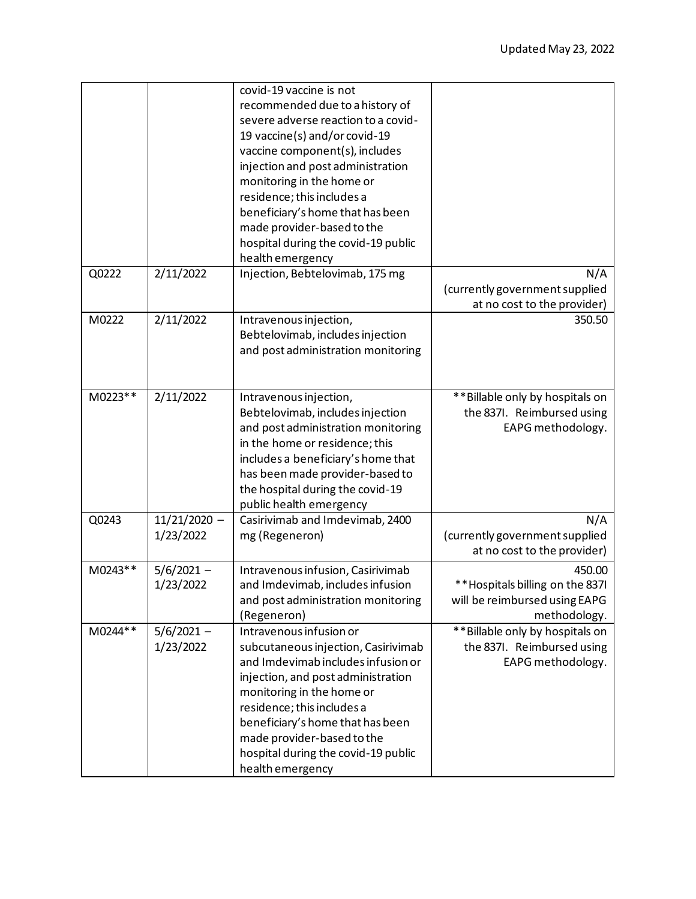|         |                             | covid-19 vaccine is not<br>recommended due to a history of<br>severe adverse reaction to a covid-<br>19 vaccine(s) and/or covid-19<br>vaccine component(s), includes<br>injection and post administration<br>monitoring in the home or<br>residence; this includes a<br>beneficiary's home that has been<br>made provider-based to the<br>hospital during the covid-19 public<br>health emergency |                                                                                            |
|---------|-----------------------------|---------------------------------------------------------------------------------------------------------------------------------------------------------------------------------------------------------------------------------------------------------------------------------------------------------------------------------------------------------------------------------------------------|--------------------------------------------------------------------------------------------|
| Q0222   | 2/11/2022                   | Injection, Bebtelovimab, 175 mg                                                                                                                                                                                                                                                                                                                                                                   | N/A<br>(currently government supplied<br>at no cost to the provider)                       |
| M0222   | 2/11/2022                   | Intravenous injection,<br>Bebtelovimab, includes injection<br>and post administration monitoring                                                                                                                                                                                                                                                                                                  | 350.50                                                                                     |
| M0223** | 2/11/2022                   | Intravenous injection,<br>Bebtelovimab, includes injection<br>and post administration monitoring<br>in the home or residence; this<br>includes a beneficiary's home that<br>has been made provider-based to<br>the hospital during the covid-19<br>public health emergency                                                                                                                        | ** Billable only by hospitals on<br>the 837I. Reimbursed using<br>EAPG methodology.        |
| Q0243   | $11/21/2020 -$<br>1/23/2022 | Casirivimab and Imdevimab, 2400<br>mg (Regeneron)                                                                                                                                                                                                                                                                                                                                                 | N/A<br>(currently government supplied<br>at no cost to the provider)                       |
| M0243** | $5/6/2021 -$<br>1/23/2022   | Intravenous infusion, Casirivimab<br>and Imdevimab, includes infusion<br>and post administration monitoring<br>(Regeneron)                                                                                                                                                                                                                                                                        | 450.00<br>**Hospitals billing on the 837I<br>will be reimbursed using EAPG<br>methodology. |
| M0244** | $5/6/2021 -$<br>1/23/2022   | Intravenous infusion or<br>subcutaneous injection, Casirivimab<br>and Imdevimab includes infusion or<br>injection, and post administration<br>monitoring in the home or<br>residence; this includes a<br>beneficiary's home that has been<br>made provider-based to the<br>hospital during the covid-19 public<br>health emergency                                                                | ** Billable only by hospitals on<br>the 837I. Reimbursed using<br>EAPG methodology.        |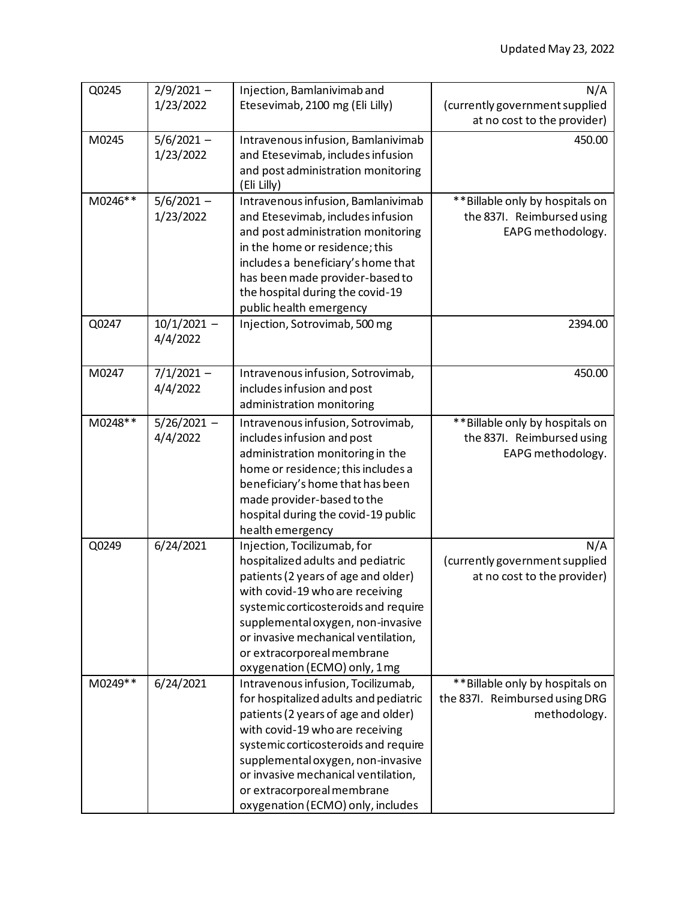| Q0245   | $2/9/2021 -$  | Injection, Bamlanivimab and           | N/A                              |
|---------|---------------|---------------------------------------|----------------------------------|
|         | 1/23/2022     | Etesevimab, 2100 mg (Eli Lilly)       | (currently government supplied   |
|         |               |                                       | at no cost to the provider)      |
| M0245   | $5/6/2021 -$  | Intravenous infusion, Bamlanivimab    | 450.00                           |
|         | 1/23/2022     | and Etesevimab, includes infusion     |                                  |
|         |               | and post administration monitoring    |                                  |
|         |               | (Eli Lilly)                           |                                  |
| M0246** | $5/6/2021 -$  | Intravenous infusion, Bamlanivimab    | ** Billable only by hospitals on |
|         | 1/23/2022     | and Etesevimab, includes infusion     | the 837I. Reimbursed using       |
|         |               | and post administration monitoring    | EAPG methodology.                |
|         |               | in the home or residence; this        |                                  |
|         |               | includes a beneficiary's home that    |                                  |
|         |               | has been made provider-based to       |                                  |
|         |               | the hospital during the covid-19      |                                  |
|         |               | public health emergency               |                                  |
| Q0247   | $10/1/2021 -$ | Injection, Sotrovimab, 500 mg         | 2394.00                          |
|         | 4/4/2022      |                                       |                                  |
|         |               |                                       |                                  |
| M0247   | $7/1/2021 -$  | Intravenous infusion, Sotrovimab,     | 450.00                           |
|         | 4/4/2022      | includes infusion and post            |                                  |
|         |               | administration monitoring             |                                  |
| M0248** | $5/26/2021 -$ | Intravenous infusion, Sotrovimab,     | **Billable only by hospitals on  |
|         | 4/4/2022      | includes infusion and post            | the 837I. Reimbursed using       |
|         |               | administration monitoring in the      | EAPG methodology.                |
|         |               | home or residence; this includes a    |                                  |
|         |               | beneficiary's home that has been      |                                  |
|         |               | made provider-based to the            |                                  |
|         |               | hospital during the covid-19 public   |                                  |
|         |               | health emergency                      |                                  |
| Q0249   | 6/24/2021     | Injection, Tocilizumab, for           | N/A                              |
|         |               | hospitalized adults and pediatric     | (currently government supplied   |
|         |               | patients (2 years of age and older)   | at no cost to the provider)      |
|         |               | with covid-19 who are receiving       |                                  |
|         |               | systemic corticosteroids and require  |                                  |
|         |               | supplemental oxygen, non-invasive     |                                  |
|         |               | or invasive mechanical ventilation,   |                                  |
|         |               | or extracorporeal membrane            |                                  |
|         |               | oxygenation (ECMO) only, 1 mg         |                                  |
| M0249** | 6/24/2021     | Intravenous infusion, Tocilizumab,    | ** Billable only by hospitals on |
|         |               | for hospitalized adults and pediatric | the 837I. Reimbursed using DRG   |
|         |               | patients (2 years of age and older)   | methodology.                     |
|         |               | with covid-19 who are receiving       |                                  |
|         |               | systemic corticosteroids and require  |                                  |
|         |               | supplemental oxygen, non-invasive     |                                  |
|         |               | or invasive mechanical ventilation,   |                                  |
|         |               | or extracorporeal membrane            |                                  |
|         |               | oxygenation (ECMO) only, includes     |                                  |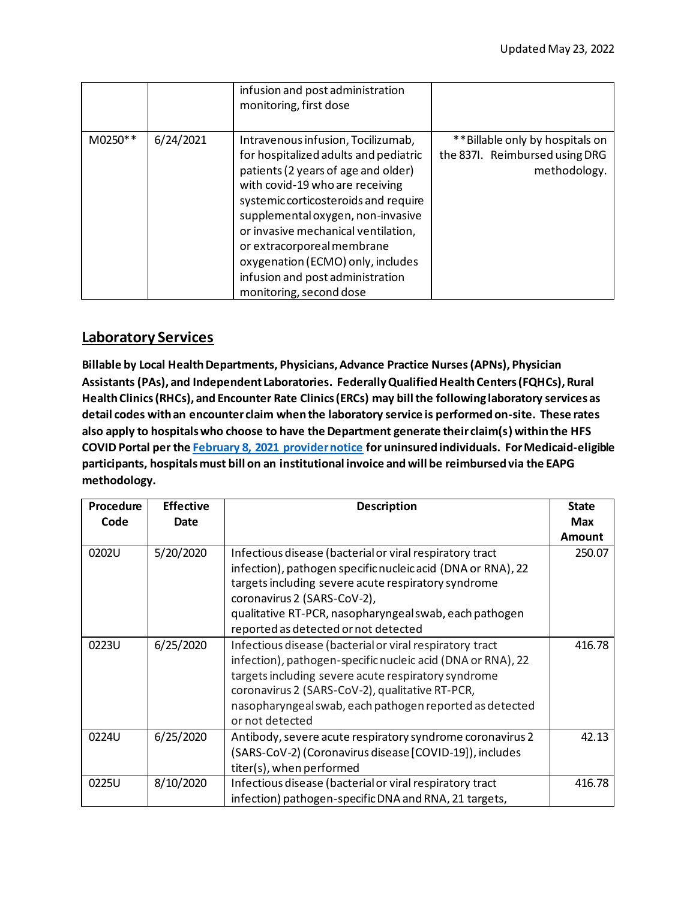|         |           | infusion and post administration<br>monitoring, first dose                                                                                                                                                                                                                                                                                                                                                  |                                                                                   |
|---------|-----------|-------------------------------------------------------------------------------------------------------------------------------------------------------------------------------------------------------------------------------------------------------------------------------------------------------------------------------------------------------------------------------------------------------------|-----------------------------------------------------------------------------------|
| M0250** | 6/24/2021 | Intravenous infusion, Tocilizumab,<br>for hospitalized adults and pediatric<br>patients (2 years of age and older)<br>with covid-19 who are receiving<br>systemic corticosteroids and require<br>supplemental oxygen, non-invasive<br>or invasive mechanical ventilation,<br>or extracorporeal membrane<br>oxygenation (ECMO) only, includes<br>infusion and post administration<br>monitoring, second dose | **Billable only by hospitals on<br>the 837I. Reimbursed using DRG<br>methodology. |

### **Laboratory Services**

**Billable by Local Health Departments, Physicians, Advance Practice Nurses(APNs), Physician Assistants (PAs), and Independent Laboratories. Federally Qualified Health Centers (FQHCs), Rural Health Clinics (RHCs), and Encounter Rate Clinics (ERCs) may billthe following laboratory services as detail codes with an encounter claim when the laboratory service is performed on-site. These rates also apply to hospitals who choose to have the Department generate their claim(s) within the HFS COVID Portal per the [February 8, 2021 provider notice](https://www2.illinois.gov/hfs/MedicalProviders/notices/Pages/prn210208b.aspx) for uninsured individuals. For Medicaid-eligible participants, hospitals must bill on an institutional invoice and will be reimbursed via the EAPG methodology.**

| Procedure | <b>Effective</b> | <b>Description</b>                                                                                                                                                                                                                                                                                              | <b>State</b>  |
|-----------|------------------|-----------------------------------------------------------------------------------------------------------------------------------------------------------------------------------------------------------------------------------------------------------------------------------------------------------------|---------------|
| Code      | Date             |                                                                                                                                                                                                                                                                                                                 | <b>Max</b>    |
|           |                  |                                                                                                                                                                                                                                                                                                                 | <b>Amount</b> |
| 0202U     | 5/20/2020        | Infectious disease (bacterial or viral respiratory tract<br>infection), pathogen specific nucleic acid (DNA or RNA), 22<br>targets including severe acute respiratory syndrome<br>coronavirus 2 (SARS-CoV-2),<br>qualitative RT-PCR, nasopharyngeal swab, each pathogen<br>reported as detected or not detected | 250.07        |
| 0223U     | 6/25/2020        | Infectious disease (bacterial or viral respiratory tract<br>infection), pathogen-specific nucleic acid (DNA or RNA), 22<br>targets including severe acute respiratory syndrome<br>coronavirus 2 (SARS-CoV-2), qualitative RT-PCR,<br>nasopharyngeal swab, each pathogen reported as detected<br>or not detected | 416.78        |
| 0224U     | 6/25/2020        | Antibody, severe acute respiratory syndrome coronavirus 2<br>(SARS-CoV-2) (Coronavirus disease [COVID-19]), includes<br>titer(s), when performed                                                                                                                                                                | 42.13         |
| 0225U     | 8/10/2020        | Infectious disease (bacterial or viral respiratory tract<br>infection) pathogen-specific DNA and RNA, 21 targets,                                                                                                                                                                                               | 416.78        |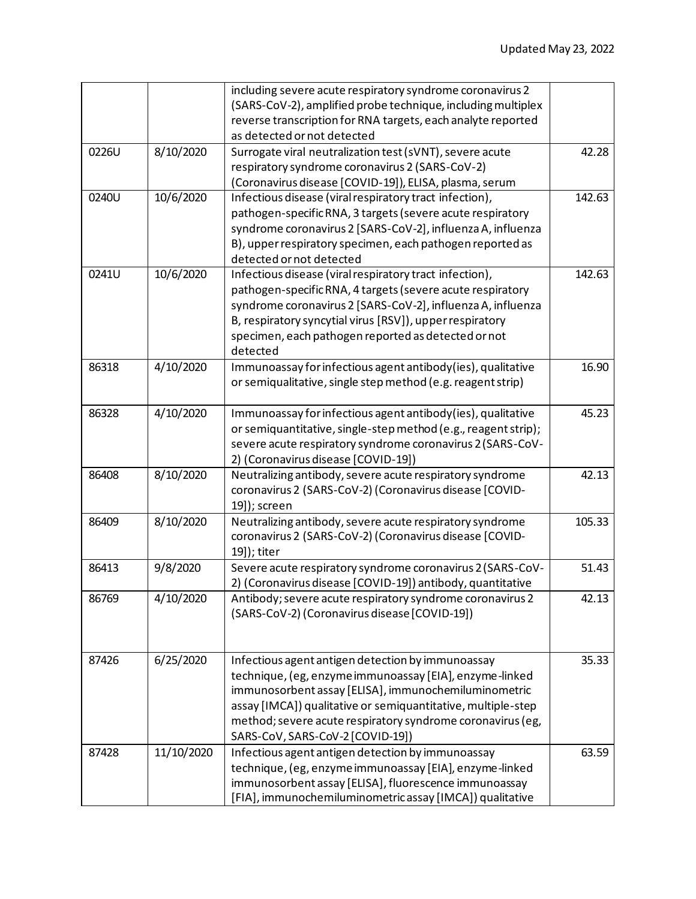|       |            | including severe acute respiratory syndrome coronavirus 2      |        |
|-------|------------|----------------------------------------------------------------|--------|
|       |            | (SARS-CoV-2), amplified probe technique, including multiplex   |        |
|       |            | reverse transcription for RNA targets, each analyte reported   |        |
|       |            | as detected or not detected                                    |        |
| 0226U | 8/10/2020  | Surrogate viral neutralization test (sVNT), severe acute       | 42.28  |
|       |            | respiratory syndrome coronavirus 2 (SARS-CoV-2)                |        |
|       |            | (Coronavirus disease [COVID-19]), ELISA, plasma, serum         |        |
| 0240U | 10/6/2020  | Infectious disease (viral respiratory tract infection),        | 142.63 |
|       |            | pathogen-specific RNA, 3 targets (severe acute respiratory     |        |
|       |            | syndrome coronavirus 2 [SARS-CoV-2], influenza A, influenza    |        |
|       |            | B), upper respiratory specimen, each pathogen reported as      |        |
|       |            | detected or not detected                                       |        |
| 0241U | 10/6/2020  | Infectious disease (viral respiratory tract infection),        | 142.63 |
|       |            | pathogen-specific RNA, 4 targets (severe acute respiratory     |        |
|       |            | syndrome coronavirus 2 [SARS-CoV-2], influenza A, influenza    |        |
|       |            | B, respiratory syncytial virus [RSV]), upper respiratory       |        |
|       |            | specimen, each pathogen reported as detected or not            |        |
|       |            | detected                                                       |        |
| 86318 | 4/10/2020  | Immunoassay for infectious agent antibody(ies), qualitative    | 16.90  |
|       |            | or semiqualitative, single step method (e.g. reagent strip)    |        |
|       |            |                                                                |        |
| 86328 | 4/10/2020  | Immunoassay for infectious agent antibody(ies), qualitative    | 45.23  |
|       |            | or semiquantitative, single-step method (e.g., reagent strip); |        |
|       |            | severe acute respiratory syndrome coronavirus 2 (SARS-CoV-     |        |
|       |            | 2) (Coronavirus disease [COVID-19])                            |        |
| 86408 | 8/10/2020  | Neutralizing antibody, severe acute respiratory syndrome       | 42.13  |
|       |            | coronavirus 2 (SARS-CoV-2) (Coronavirus disease [COVID-        |        |
|       |            | 19]); screen                                                   |        |
| 86409 | 8/10/2020  | Neutralizing antibody, severe acute respiratory syndrome       | 105.33 |
|       |            | coronavirus 2 (SARS-CoV-2) (Coronavirus disease [COVID-        |        |
|       |            | 19]); titer                                                    |        |
| 86413 | 9/8/2020   | Severe acute respiratory syndrome coronavirus 2 (SARS-CoV-     | 51.43  |
|       |            | 2) (Coronavirus disease [COVID-19]) antibody, quantitative     |        |
| 86769 | 4/10/2020  | Antibody; severe acute respiratory syndrome coronavirus 2      | 42.13  |
|       |            | (SARS-CoV-2) (Coronavirus disease [COVID-19])                  |        |
|       |            |                                                                |        |
|       |            |                                                                |        |
| 87426 | 6/25/2020  | Infectious agent antigen detection by immunoassay              | 35.33  |
|       |            | technique, (eg, enzyme immunoassay [EIA], enzyme-linked        |        |
|       |            | immunosorbent assay [ELISA], immunochemiluminometric           |        |
|       |            | assay [IMCA]) qualitative or semiquantitative, multiple-step   |        |
|       |            | method; severe acute respiratory syndrome coronavirus (eg,     |        |
|       |            | SARS-CoV, SARS-CoV-2 [COVID-19])                               |        |
| 87428 | 11/10/2020 | Infectious agent antigen detection by immunoassay              | 63.59  |
|       |            | technique, (eg, enzyme immunoassay [EIA], enzyme-linked        |        |
|       |            | immunosorbent assay [ELISA], fluorescence immunoassay          |        |
|       |            | [FIA], immunochemiluminometric assay [IMCA]) qualitative       |        |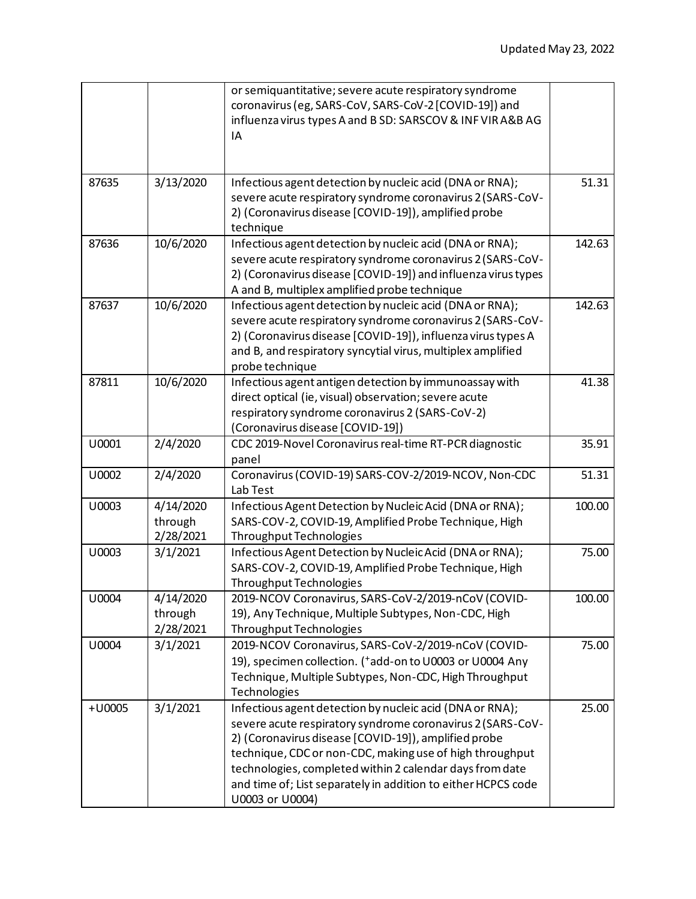|          |                                   | or semiquantitative; severe acute respiratory syndrome<br>coronavirus (eg, SARS-CoV, SARS-CoV-2 [COVID-19]) and<br>influenza virus types A and B SD: SARSCOV & INF VIR A&B AG<br>IA                                                                                                                                                                                                        |        |
|----------|-----------------------------------|--------------------------------------------------------------------------------------------------------------------------------------------------------------------------------------------------------------------------------------------------------------------------------------------------------------------------------------------------------------------------------------------|--------|
| 87635    | 3/13/2020                         | Infectious agent detection by nucleic acid (DNA or RNA);<br>severe acute respiratory syndrome coronavirus 2 (SARS-CoV-<br>2) (Coronavirus disease [COVID-19]), amplified probe<br>technique                                                                                                                                                                                                | 51.31  |
| 87636    | 10/6/2020                         | Infectious agent detection by nucleic acid (DNA or RNA);<br>severe acute respiratory syndrome coronavirus 2 (SARS-CoV-<br>2) (Coronavirus disease [COVID-19]) and influenza virus types<br>A and B, multiplex amplified probe technique                                                                                                                                                    | 142.63 |
| 87637    | 10/6/2020                         | Infectious agent detection by nucleic acid (DNA or RNA);<br>severe acute respiratory syndrome coronavirus 2 (SARS-CoV-<br>2) (Coronavirus disease [COVID-19]), influenza virus types A<br>and B, and respiratory syncytial virus, multiplex amplified<br>probe technique                                                                                                                   | 142.63 |
| 87811    | 10/6/2020                         | Infectious agent antigen detection by immunoassay with<br>direct optical (ie, visual) observation; severe acute<br>respiratory syndrome coronavirus 2 (SARS-CoV-2)<br>(Coronavirus disease [COVID-19])                                                                                                                                                                                     | 41.38  |
| U0001    | 2/4/2020                          | CDC 2019-Novel Coronavirus real-time RT-PCR diagnostic<br>panel                                                                                                                                                                                                                                                                                                                            | 35.91  |
| U0002    | 2/4/2020                          | Coronavirus (COVID-19) SARS-COV-2/2019-NCOV, Non-CDC<br>Lab Test                                                                                                                                                                                                                                                                                                                           | 51.31  |
| U0003    | 4/14/2020<br>through<br>2/28/2021 | Infectious Agent Detection by Nucleic Acid (DNA or RNA);<br>SARS-COV-2, COVID-19, Amplified Probe Technique, High<br>Throughput Technologies                                                                                                                                                                                                                                               | 100.00 |
| U0003    | 3/1/2021                          | Infectious Agent Detection by Nucleic Acid (DNA or RNA);<br>SARS-COV-2, COVID-19, Amplified Probe Technique, High<br><b>Throughput Technologies</b>                                                                                                                                                                                                                                        | 75.00  |
| U0004    | 4/14/2020<br>through<br>2/28/2021 | 2019-NCOV Coronavirus, SARS-CoV-2/2019-nCoV (COVID-<br>19), Any Technique, Multiple Subtypes, Non-CDC, High<br>Throughput Technologies                                                                                                                                                                                                                                                     | 100.00 |
| U0004    | 3/1/2021                          | 2019-NCOV Coronavirus, SARS-CoV-2/2019-nCoV (COVID-<br>19), specimen collection. (*add-on to U0003 or U0004 Any<br>Technique, Multiple Subtypes, Non-CDC, High Throughput<br>Technologies                                                                                                                                                                                                  | 75.00  |
| $+U0005$ | 3/1/2021                          | Infectious agent detection by nucleic acid (DNA or RNA);<br>severe acute respiratory syndrome coronavirus 2 (SARS-CoV-<br>2) (Coronavirus disease [COVID-19]), amplified probe<br>technique, CDC or non-CDC, making use of high throughput<br>technologies, completed within 2 calendar days from date<br>and time of; List separately in addition to either HCPCS code<br>U0003 or U0004) | 25.00  |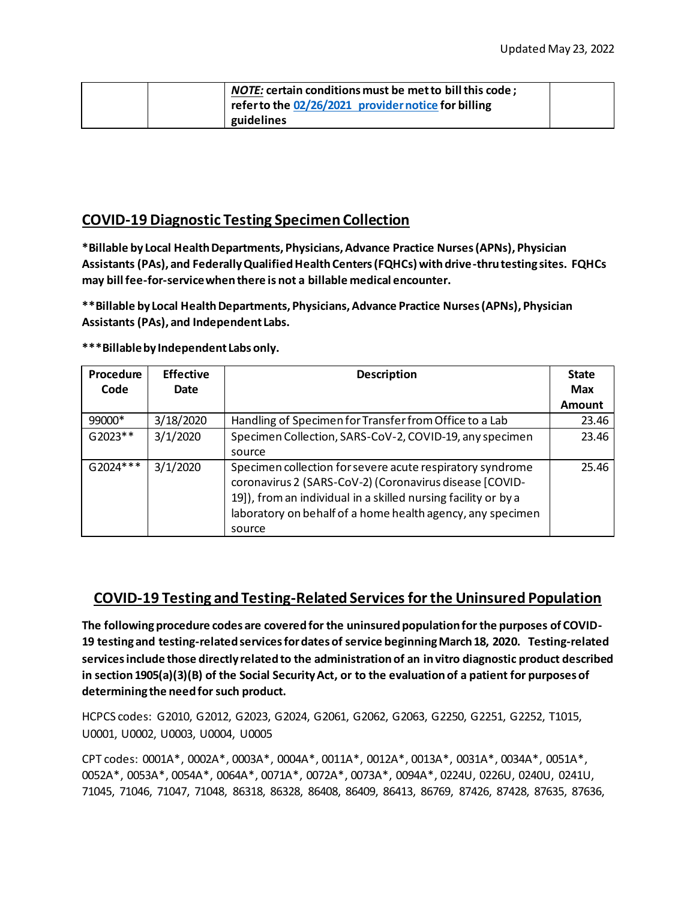| <i>NOTE:</i> certain conditions must be met to bill this code; |  |
|----------------------------------------------------------------|--|
| refer to the 02/26/2021 provider notice for billing            |  |
| guidelines                                                     |  |

### **COVID-19 Diagnostic Testing Specimen Collection**

**\*Billable by Local Health Departments, Physicians, Advance Practice Nurses (APNs), Physician Assistants (PAs), and Federally Qualified Health Centers (FQHCs) with drive-thru testing sites. FQHCs may bill fee-for-service when there is not a billable medical encounter.**

**\*\*Billable by Local Health Departments, Physicians, Advance Practice Nurses (APNs), Physician Assistants (PAs), and Independent Labs.**

**\*\*\*Billable by Independent Labs only.**

| Procedure  | <b>Effective</b> | <b>Description</b>                                                                                                                                                                                                                                             | <b>State</b>  |
|------------|------------------|----------------------------------------------------------------------------------------------------------------------------------------------------------------------------------------------------------------------------------------------------------------|---------------|
| Code       | Date             |                                                                                                                                                                                                                                                                | <b>Max</b>    |
|            |                  |                                                                                                                                                                                                                                                                | <b>Amount</b> |
| 99000*     | 3/18/2020        | Handling of Specimen for Transfer from Office to a Lab                                                                                                                                                                                                         | 23.46         |
| $G2023**$  | 3/1/2020         | Specimen Collection, SARS-CoV-2, COVID-19, any specimen                                                                                                                                                                                                        | 23.46         |
|            |                  | source                                                                                                                                                                                                                                                         |               |
| $G2024***$ | 3/1/2020         | Specimen collection for severe acute respiratory syndrome<br>coronavirus 2 (SARS-CoV-2) (Coronavirus disease [COVID-<br>19]), from an individual in a skilled nursing facility or by a<br>laboratory on behalf of a home health agency, any specimen<br>source | 25.46         |

#### **COVID-19 Testing and Testing-Related Services for the Uninsured Population**

**The following procedure codes are covered for the uninsured population for the purposes of COVID-19 testing and testing-related services for dates of service beginning March 18, 2020. Testing-related services include those directly related to the administration of an in vitro diagnostic product described in section 1905(a)(3)(B) of the Social Security Act, or to the evaluation of a patient for purposes of determining the need for such product.**

HCPCS codes: G2010, G2012, G2023, G2024, G2061, G2062, G2063, G2250, G2251, G2252, T1015, U0001, U0002, U0003, U0004, U0005

CPT codes: 0001A\*, 0002A\*, 0003A\*, 0004A\*, 0011A\*, 0012A\*, 0013A\*, 0031A\*, 0034A\*, 0051A\*, 0052A\*, 0053A\*, 0054A\*, 0064A\*, 0071A\*, 0072A\*, 0073A\*, 0094A\*, 0224U, 0226U, 0240U, 0241U, 71045, 71046, 71047, 71048, 86318, 86328, 86408, 86409, 86413, 86769, 87426, 87428, 87635, 87636,